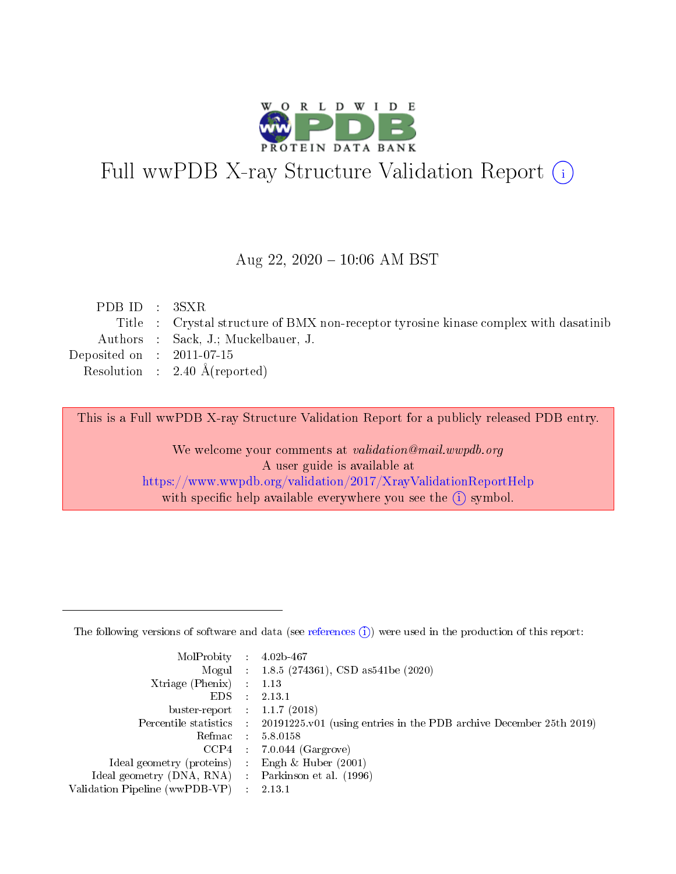

# Full wwPDB X-ray Structure Validation Report (i)

#### Aug 22, 2020 - 10:06 AM BST

| PDB ID : $3SXR$             |                                                                                      |
|-----------------------------|--------------------------------------------------------------------------------------|
|                             | Title : Crystal structure of BMX non-receptor tyrosine kinase complex with dasatinib |
|                             | Authors : Sack, J.; Muckelbauer, J.                                                  |
| Deposited on : $2011-07-15$ |                                                                                      |
|                             | Resolution : $2.40 \text{ Å}$ (reported)                                             |
|                             |                                                                                      |

This is a Full wwPDB X-ray Structure Validation Report for a publicly released PDB entry.

We welcome your comments at validation@mail.wwpdb.org A user guide is available at <https://www.wwpdb.org/validation/2017/XrayValidationReportHelp> with specific help available everywhere you see the  $(i)$  symbol.

The following versions of software and data (see [references](https://www.wwpdb.org/validation/2017/XrayValidationReportHelp#references)  $(1)$ ) were used in the production of this report:

| MolProbity : 4.02b-467         |   |                                                                                            |
|--------------------------------|---|--------------------------------------------------------------------------------------------|
|                                |   | Mogul : $1.8.5$ (274361), CSD as 541be (2020)                                              |
| $X$ triage (Phenix) :          |   | 1.13                                                                                       |
| EDS.                           |   | 2.13.1                                                                                     |
| buster-report : $1.1.7$ (2018) |   |                                                                                            |
|                                |   | Percentile statistics : 20191225.v01 (using entries in the PDB archive December 25th 2019) |
| Refmac                         |   | 5.8.0158                                                                                   |
| CCP4                           |   | $7.0.044$ (Gargrove)                                                                       |
| Ideal geometry (proteins)      |   | Engh $\&$ Huber (2001)                                                                     |
| Ideal geometry (DNA, RNA) :    |   | Parkinson et al. (1996)                                                                    |
| Validation Pipeline (wwPDB-VP) | ÷ | 2.13.1                                                                                     |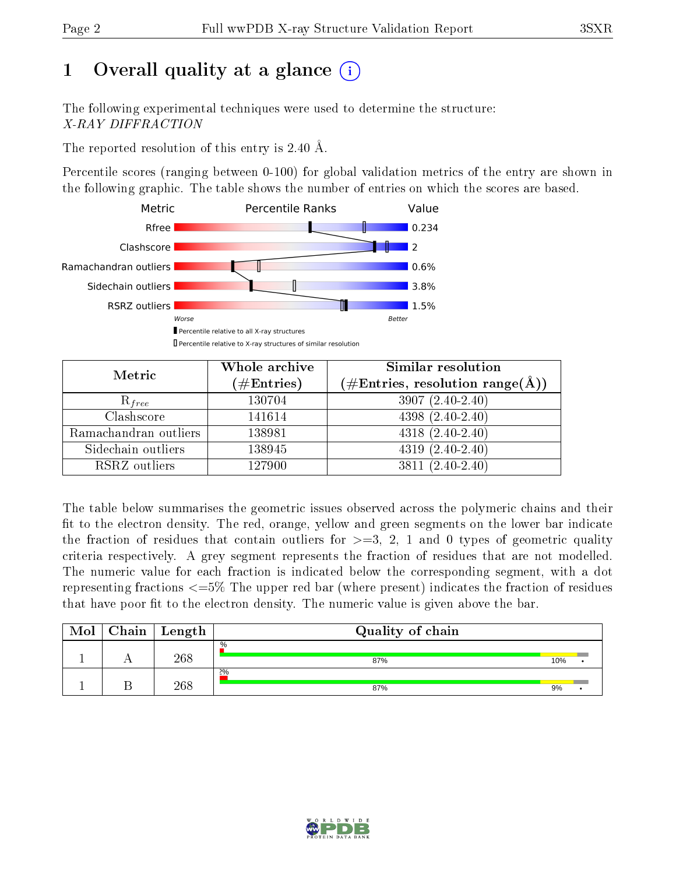# 1 [O](https://www.wwpdb.org/validation/2017/XrayValidationReportHelp#overall_quality)verall quality at a glance  $(i)$

The following experimental techniques were used to determine the structure: X-RAY DIFFRACTION

The reported resolution of this entry is 2.40 Å.

Percentile scores (ranging between 0-100) for global validation metrics of the entry are shown in the following graphic. The table shows the number of entries on which the scores are based.



| Metric                | Whole archive<br>$(\#\text{Entries})$ | Similar resolution<br>$(\#\text{Entries},\,\text{resolution}\,\,\text{range}(\textup{\AA}))$ |
|-----------------------|---------------------------------------|----------------------------------------------------------------------------------------------|
| $R_{free}$            | 130704                                | $3907(2.40-2.40)$                                                                            |
| Clashscore            | 141614                                | $4398(2.40-2.40)$                                                                            |
| Ramachandran outliers | 138981                                | $4318(2.40-2.40)$                                                                            |
| Sidechain outliers    | 138945                                | $4319(2.40-2.40)$                                                                            |
| RSRZ outliers         | 127900                                | $3811(2.40-2.40)$                                                                            |

The table below summarises the geometric issues observed across the polymeric chains and their fit to the electron density. The red, orange, yellow and green segments on the lower bar indicate the fraction of residues that contain outliers for  $>=3, 2, 1$  and 0 types of geometric quality criteria respectively. A grey segment represents the fraction of residues that are not modelled. The numeric value for each fraction is indicated below the corresponding segment, with a dot representing fractions  $\epsilon=5\%$  The upper red bar (where present) indicates the fraction of residues that have poor fit to the electron density. The numeric value is given above the bar.

| Mol | Chain | $\perp$ Length | Quality of chain |     |  |  |  |  |
|-----|-------|----------------|------------------|-----|--|--|--|--|
|     |       | 268            | $\%$<br>87%      | 10% |  |  |  |  |
|     |       | 268            | 2%<br>87%        | 9%  |  |  |  |  |

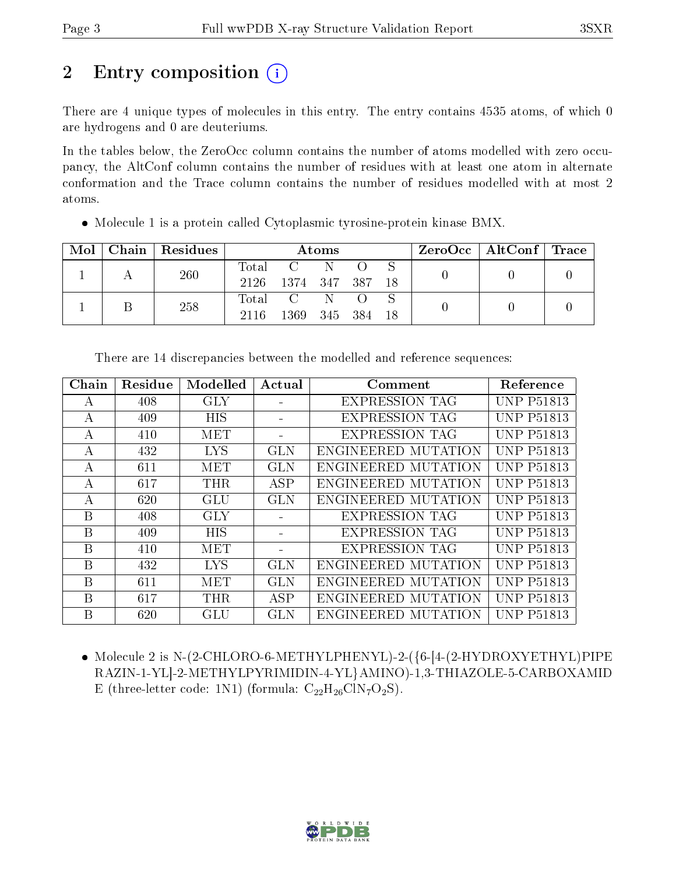# 2 Entry composition  $\binom{1}{1}$

There are 4 unique types of molecules in this entry. The entry contains 4535 atoms, of which 0 are hydrogens and 0 are deuteriums.

In the tables below, the ZeroOcc column contains the number of atoms modelled with zero occupancy, the AltConf column contains the number of residues with at least one atom in alternate conformation and the Trace column contains the number of residues modelled with at most 2 atoms.

| Mol | Chain Residues | Atoms            |                 |           |  | $\rm ZeroOcc \mid AltConf \mid Trace$ |  |  |
|-----|----------------|------------------|-----------------|-----------|--|---------------------------------------|--|--|
|     | 260            | Total            |                 | $C \tN$ O |  |                                       |  |  |
|     |                | 2126             | 1374 347 387 18 |           |  |                                       |  |  |
|     | 258            | $\mathrm{Total}$ |                 | $C \tN$ O |  |                                       |  |  |
|     |                | 2116             | 1369 345 384 18 |           |  |                                       |  |  |

• Molecule 1 is a protein called Cytoplasmic tyrosine-protein kinase BMX.

| Chain | Residue | Modelled   | Actual     | Comment               | Reference         |
|-------|---------|------------|------------|-----------------------|-------------------|
| А     | 408     | <b>GLY</b> |            | <b>EXPRESSION TAG</b> | <b>UNP P51813</b> |
| A     | 409     | <b>HIS</b> |            | <b>EXPRESSION TAG</b> | <b>UNP P51813</b> |
| А     | 410     | <b>MET</b> |            | <b>EXPRESSION TAG</b> | <b>UNP P51813</b> |
| А     | 432     | <b>LYS</b> | <b>GLN</b> | ENGINEERED MUTATION   | <b>UNP P51813</b> |
| А     | 611     | <b>MET</b> | <b>GLN</b> | ENGINEERED MUTATION   | <b>UNP P51813</b> |
| А     | 617     | <b>THR</b> | <b>ASP</b> | ENGINEERED MUTATION   | <b>UNP P51813</b> |
| А     | 620     | <b>GLU</b> | <b>GLN</b> | ENGINEERED MUTATION   | <b>UNP P51813</b> |
| Β     | 408     | <b>GLY</b> |            | <b>EXPRESSION TAG</b> | <b>UNP P51813</b> |
| B     | 409     | <b>HIS</b> |            | <b>EXPRESSION TAG</b> | <b>UNP P51813</b> |
| B     | 410     | <b>MET</b> |            | <b>EXPRESSION TAG</b> | <b>UNP P51813</b> |
| B     | 432     | <b>LYS</b> | <b>GLN</b> | ENGINEERED MUTATION   | <b>UNP P51813</b> |
| B     | 611     | <b>MET</b> | <b>GLN</b> | ENGINEERED MUTATION   | <b>UNP P51813</b> |
| Β     | 617     | <b>THR</b> | <b>ASP</b> | ENGINEERED MUTATION   | <b>UNP P51813</b> |
| B     | 620     | GLU        | <b>GLN</b> | ENGINEERED MUTATION   | <b>UNP P51813</b> |

There are 14 discrepancies between the modelled and reference sequences:

 Molecule 2 is N-(2-CHLORO-6-METHYLPHENYL)-2-({6-[4-(2-HYDROXYETHYL)PIPE RAZIN-1-YL]-2-METHYLPYRIMIDIN-4-YL}AMINO)-1,3-THIAZOLE-5-CARBOXAMID E (three-letter code: 1N1) (formula:  $C_{22}H_{26}C1N_7O_2S$ ).

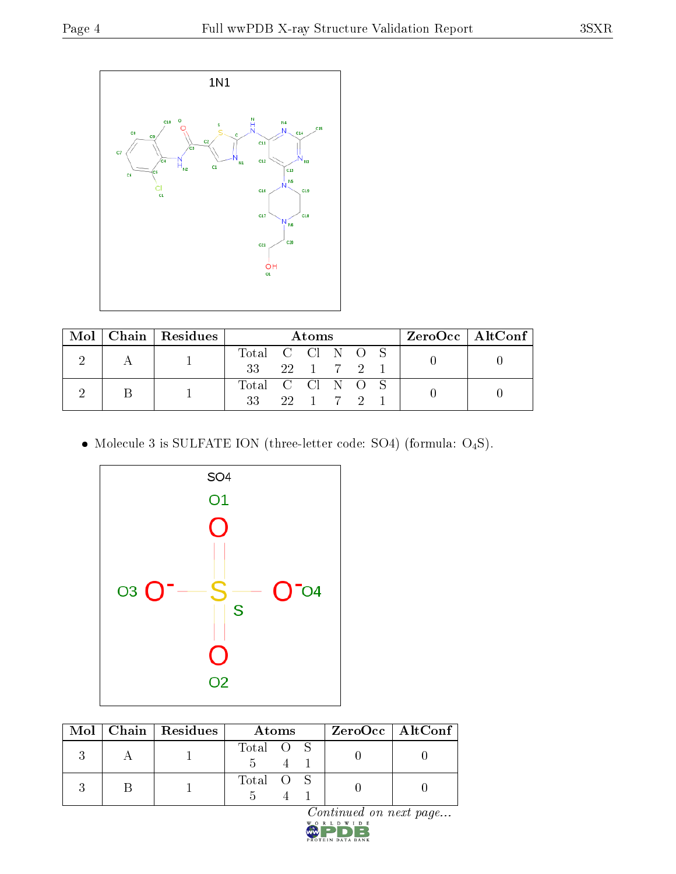

| Mol |  | Chain Residues | Atoms            |  |          |  |  | $\rm ZeroOcc \mid AltConf \mid$ |  |
|-----|--|----------------|------------------|--|----------|--|--|---------------------------------|--|
|     |  |                | Total C Cl N O S |  |          |  |  |                                 |  |
|     |  |                | 33 22 1 7 2 1    |  |          |  |  |                                 |  |
|     |  |                | Total C Cl N O S |  |          |  |  |                                 |  |
|     |  |                | 33               |  | 22 1 7 2 |  |  |                                 |  |

 $\bullet$  Molecule 3 is SULFATE ION (three-letter code: SO4) (formula:  $\mathrm{O}_4\mathrm{S}) .$ 



|  | Mol   Chain   Residues | Atoms     | $ZeroOcc$   AltConf |
|--|------------------------|-----------|---------------------|
|  |                        | Total O   |                     |
|  |                        | Total O S |                     |

 $Continued on next page...$ 

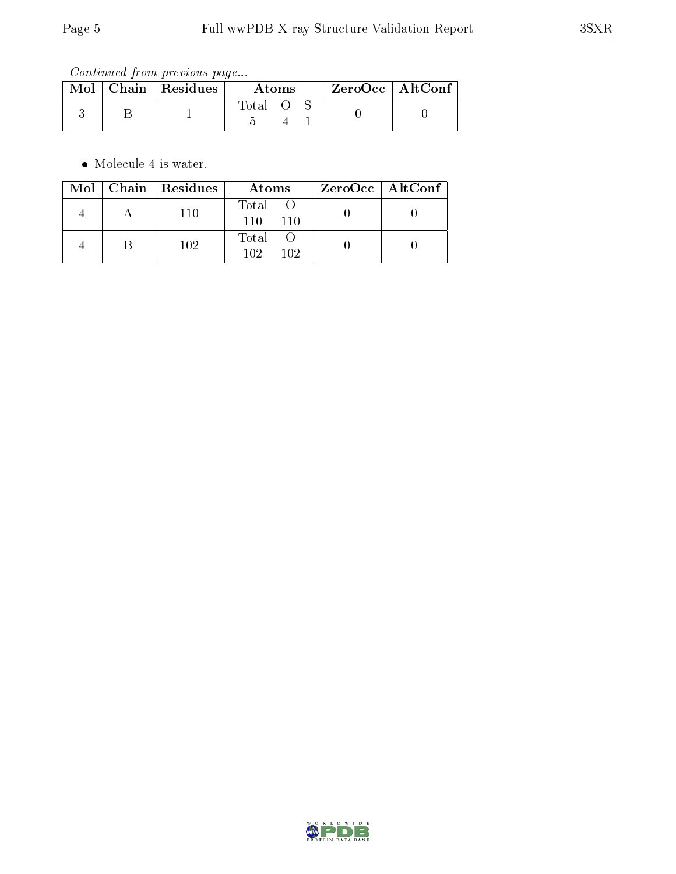Continued from previous page...

|  | $\text{Mol}$   Chain   Residues | Atoms |  |  | ZeroOcc   AltConf |
|--|---------------------------------|-------|--|--|-------------------|
|  |                                 | Total |  |  |                   |

Molecule 4 is water.

|  | Mol   Chain   Residues | Atoms                  | $ZeroOcc \   \ AltConf \  $ |
|--|------------------------|------------------------|-----------------------------|
|  | 110                    | Total O<br>110<br>110  |                             |
|  | 102                    | Total O<br>102.<br>102 |                             |

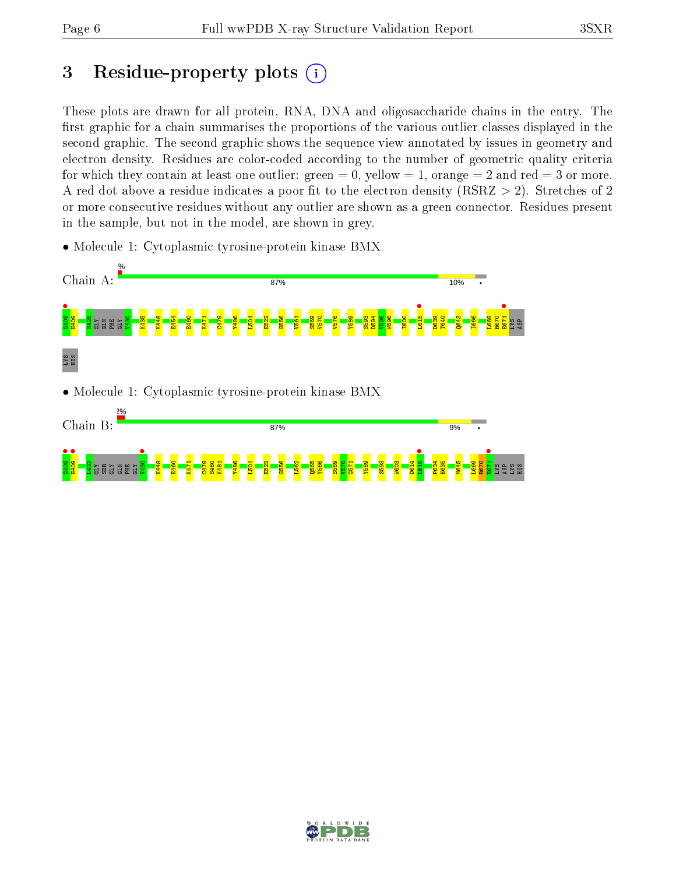# 3 Residue-property plots  $\binom{1}{1}$

These plots are drawn for all protein, RNA, DNA and oligosaccharide chains in the entry. The first graphic for a chain summarises the proportions of the various outlier classes displayed in the second graphic. The second graphic shows the sequence view annotated by issues in geometry and electron density. Residues are color-coded according to the number of geometric quality criteria for which they contain at least one outlier: green  $= 0$ , yellow  $= 1$ , orange  $= 2$  and red  $= 3$  or more. A red dot above a residue indicates a poor fit to the electron density ( $\text{RSRZ} > 2$ ). Stretches of 2 or more consecutive residues without any outlier are shown as a green connector. Residues present in the sample, but not in the model, are shown in grey.



• Molecule 1: Cytoplasmic tyrosine-protein kinase BMX

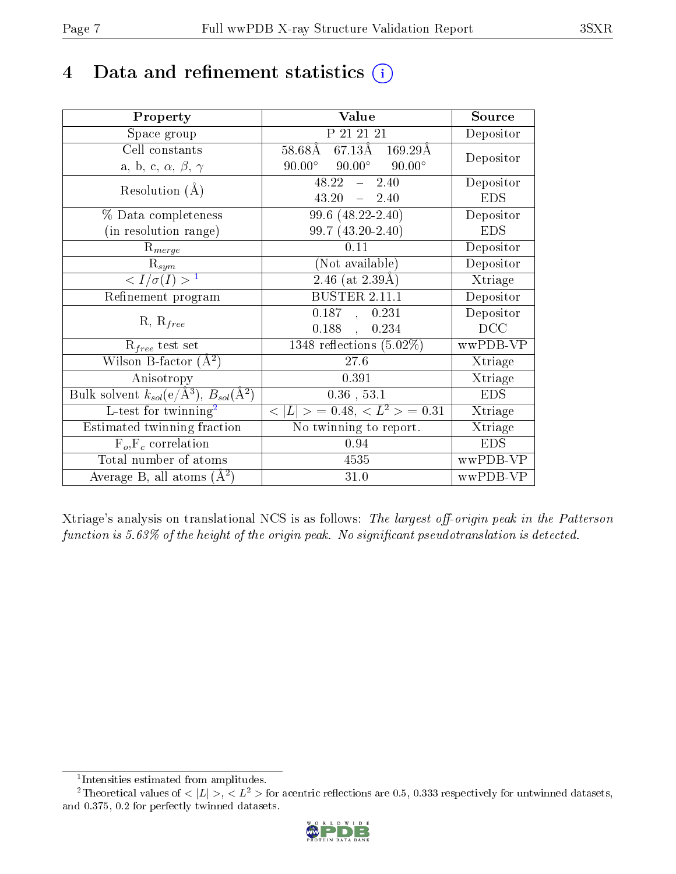# 4 Data and refinement statistics  $(i)$

| Property                                                         | Value                                            | Source     |
|------------------------------------------------------------------|--------------------------------------------------|------------|
| Space group                                                      | P 21 21 21                                       | Depositor  |
| Cell constants                                                   | $58.68\AA$ 67.13Å 169.29Å                        | Depositor  |
| a, b, c, $\alpha$ , $\beta$ , $\gamma$                           | $90.00^{\circ}$ $90.00^{\circ}$<br>$90.00^\circ$ |            |
| Resolution $(A)$                                                 | $-2.40$<br>48.22                                 | Depositor  |
|                                                                  | $43.20 = 2.40$                                   | <b>EDS</b> |
| $\%$ Data completeness                                           | $99.6(48.22-2.40)$                               | Depositor  |
| (in resolution range)                                            | 99.7 (43.20-2.40)                                | <b>EDS</b> |
| $R_{merge}$                                                      | 0.11                                             | Depositor  |
| $\mathrm{R}_{sym}$                                               | (Not available)                                  | Depositor  |
| $\langle I/\sigma(I) \rangle^{-1}$                               | $\sqrt{2.46 \text{ (at } 2.39 \text{\AA})}$      | Xtriage    |
| Refinement program                                               | <b>BUSTER 2.11.1</b>                             | Depositor  |
|                                                                  | 0.187, 0.231                                     | Depositor  |
| $R, R_{free}$                                                    | 0.188,<br>0.234                                  | DCC        |
| $R_{free}$ test set                                              | 1348 reflections $(5.02\%)$                      | wwPDB-VP   |
| Wilson B-factor $(A^2)$                                          | 27.6                                             | Xtriage    |
| Anisotropy                                                       | 0.391                                            | Xtriage    |
| Bulk solvent $k_{sol}(\text{e}/\text{A}^3), B_{sol}(\text{A}^2)$ | $0.36$ , 53.1                                    | <b>EDS</b> |
| L-test for $\mathrm{twinning}^2$                                 | $< L >$ = 0.48, $< L2 >$ = 0.31                  | Xtriage    |
| Estimated twinning fraction                                      | No twinning to report.                           | Xtriage    |
| $\overline{F_o}, \overline{F_c}$ correlation                     | 0.94                                             | <b>EDS</b> |
| Total number of atoms                                            | 4535                                             | wwPDB-VP   |
| Average B, all atoms $(A^2)$                                     | 31.0                                             | wwPDB-VP   |

Xtriage's analysis on translational NCS is as follows: The largest off-origin peak in the Patterson function is  $5.63\%$  of the height of the origin peak. No significant pseudotranslation is detected.

<sup>&</sup>lt;sup>2</sup>Theoretical values of  $\langle |L| \rangle$ ,  $\langle L^2 \rangle$  for acentric reflections are 0.5, 0.333 respectively for untwinned datasets, and 0.375, 0.2 for perfectly twinned datasets.



<span id="page-6-1"></span><span id="page-6-0"></span><sup>1</sup> Intensities estimated from amplitudes.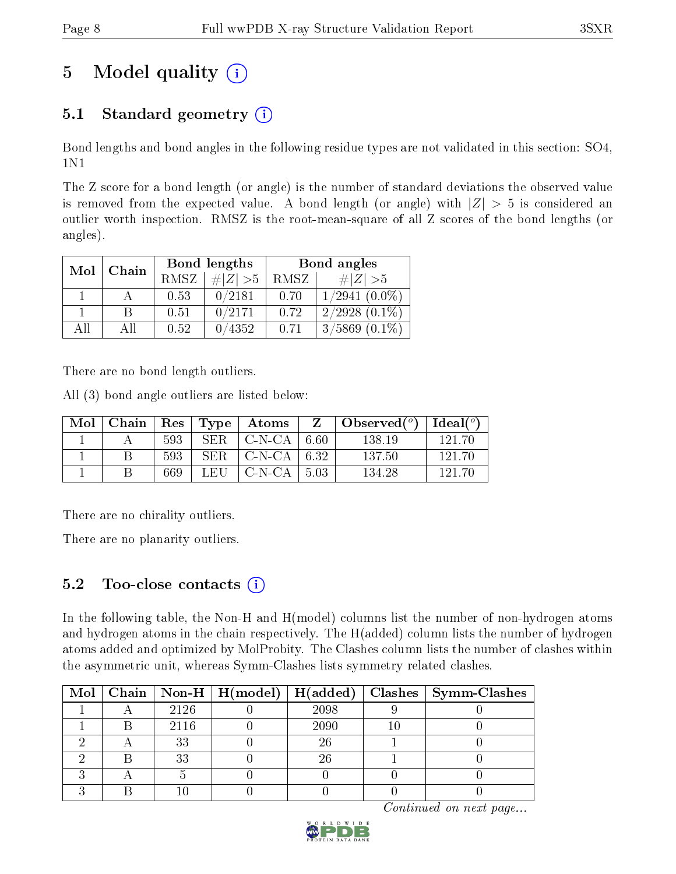# 5 Model quality  $(i)$

# 5.1 Standard geometry  $(i)$

Bond lengths and bond angles in the following residue types are not validated in this section: SO4, 1N1

The Z score for a bond length (or angle) is the number of standard deviations the observed value is removed from the expected value. A bond length (or angle) with  $|Z| > 5$  is considered an outlier worth inspection. RMSZ is the root-mean-square of all Z scores of the bond lengths (or angles).

| Mol | Chain |             | Bond lengths | Bond angles |                    |  |
|-----|-------|-------------|--------------|-------------|--------------------|--|
|     |       | <b>RMSZ</b> | $\# Z  > 5$  | RMSZ        | $\# Z  > 5$        |  |
|     |       | 0.53        | 0/2181       | 0.70        | $1/2941$ $(0.0\%)$ |  |
|     | B     | 0.51        | 0/2171       | 0.72        | $2/2928$ $(0.1\%)$ |  |
| AĦ  | Аll   | 0.52        | 0/4352       | 0.71        | $3/5869$ $(0.1\%)$ |  |

There are no bond length outliers.

All (3) bond angle outliers are listed below:

| Mol | $\mid$ Chain |     |      | $\mid$ Res $\mid$ Type $\mid$ Atoms |         | $\bullet$ Observed $(^\circ)$   Ideal $(^\circ)$ |        |
|-----|--------------|-----|------|-------------------------------------|---------|--------------------------------------------------|--------|
|     |              | 593 | SER. | I C-N-CA I                          | 6.60    | 138.19                                           | 121.70 |
|     |              | 593 | SER. | $\vert$ C-N-CA $\vert$ 6.32         |         | -137.50                                          | 121.70 |
|     |              | 669 | LEH  | C-N-CA                              | $+5.03$ | 134.28                                           | 191 ZG |

There are no chirality outliers.

There are no planarity outliers.

### 5.2 Too-close contacts  $(i)$

In the following table, the Non-H and H(model) columns list the number of non-hydrogen atoms and hydrogen atoms in the chain respectively. The H(added) column lists the number of hydrogen atoms added and optimized by MolProbity. The Clashes column lists the number of clashes within the asymmetric unit, whereas Symm-Clashes lists symmetry related clashes.

|  |      |      | Mol   Chain   Non-H   H(model)   H(added)   Clashes   Symm-Clashes |
|--|------|------|--------------------------------------------------------------------|
|  | 2126 | 2098 |                                                                    |
|  | 2116 | 2090 |                                                                    |
|  | 33   | 26   |                                                                    |
|  | 33   | 26   |                                                                    |
|  |      |      |                                                                    |
|  |      |      |                                                                    |

Continued on next page...

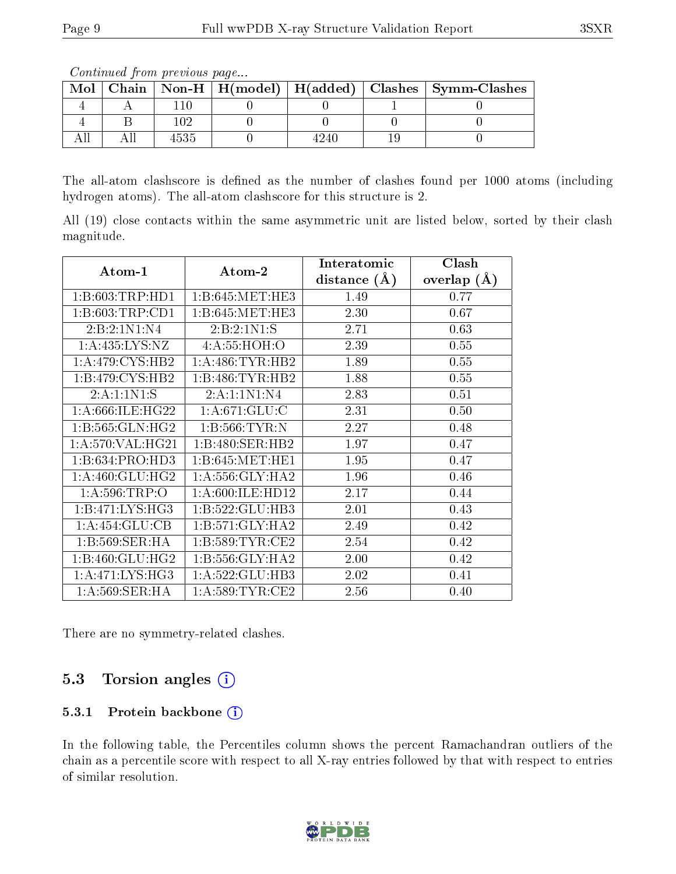The all-atom clashscore is defined as the number of clashes found per 1000 atoms (including hydrogen atoms). The all-atom clashscore for this structure is 2.

All (19) close contacts within the same asymmetric unit are listed below, sorted by their clash magnitude.

|                     |                     | Interatomic         | Clash                                                                                                                                                   |
|---------------------|---------------------|---------------------|---------------------------------------------------------------------------------------------------------------------------------------------------------|
| Atom-1              | Atom-2              | $(\AA)$<br>distance | overlap $(\AA)$<br>0.77<br>0.67<br>0.63<br>0.55<br>0.55<br>0.55<br>0.51<br>0.50<br>0.48<br>0.47<br>0.47<br>0.46<br>0.44<br>0.43<br>0.42<br>0.42<br>0.42 |
| 1: B: 603: TRP: HD1 | 1:B:645:MET:HE3     | 1.49                |                                                                                                                                                         |
| 1: B:603:TRP:CD1    | 1: B:645: MET:HE3   | 2.30                |                                                                                                                                                         |
| 2: B: 2:1 N 1: N 4  | 2: B: 2:1 N 1: S    | 2.71                |                                                                                                                                                         |
| 1: A:435:LYS:NZ     | 4:A:55:HOH:O        | 2.39                |                                                                                                                                                         |
| 1: A:479: CYS:HB2   | 1: A:486: TYR: HB2  | 1.89                |                                                                                                                                                         |
| 1:B:479:CYS:HB2     | 1:B:486:TYR:HB2     | 1.88                |                                                                                                                                                         |
| 2: A: 1:1 N1: S     | 2:A:1:1N1:N4        | 2.83                |                                                                                                                                                         |
| 1: A:666: ILE: HG22 | 1: A:671: GLU:C     | 2.31                |                                                                                                                                                         |
| 1: B: 565: GLN: HG2 | 1:B:566:TYR:N       | 2.27                |                                                                                                                                                         |
| 1: A:570: VAL:HG21  | 1:B:480:SER:HB2     | 1.97                |                                                                                                                                                         |
| 1:B:634:PRO:HD3     | 1: B:645: MET:HE1   | 1.95                |                                                                                                                                                         |
| 1: A:460: GLU: HG2  | 1: A: 556: GLY: HA2 | 1.96                |                                                                                                                                                         |
| 1: A:596:TRP:O      | 1: A:600: ILE: HD12 | 2.17                |                                                                                                                                                         |
| 1:B:471:LYS:HG3     | 1:B:522:GLU:HB3     | 2.01                |                                                                                                                                                         |
| 1:A:454:GLU:CB      | 1: B:571: GLY:HA2   | 2.49                |                                                                                                                                                         |
| 1:B:569:SER:HA      | 1: B: 589: TYR: CE2 | 2.54                |                                                                                                                                                         |
| 1: B:460: GLU: HG2  | 1:B:556:GLY:HA2     | 2.00                |                                                                                                                                                         |
| 1: A:471: LYS: HG3  | 1:A:522:GLU:HB3     | 2.02                | 0.41                                                                                                                                                    |
| 1: A:569: SER: HA   | 1: A:589: TYR: CE2  | 2.56                | 0.40                                                                                                                                                    |

There are no symmetry-related clashes.

### 5.3 Torsion angles (i)

#### 5.3.1 Protein backbone (i)

In the following table, the Percentiles column shows the percent Ramachandran outliers of the chain as a percentile score with respect to all X-ray entries followed by that with respect to entries of similar resolution.



Mol | Chain | Non-H | H(model) | H(added) | Clashes | Symm-Clashes 4 | A | 110 | 0 | 0 | 1 | 0 4 | B | 102 | 0 | 0 | 0 | 0 All | All | 4535 | 0 | 4240 | 19 | 0

Continued from previous page...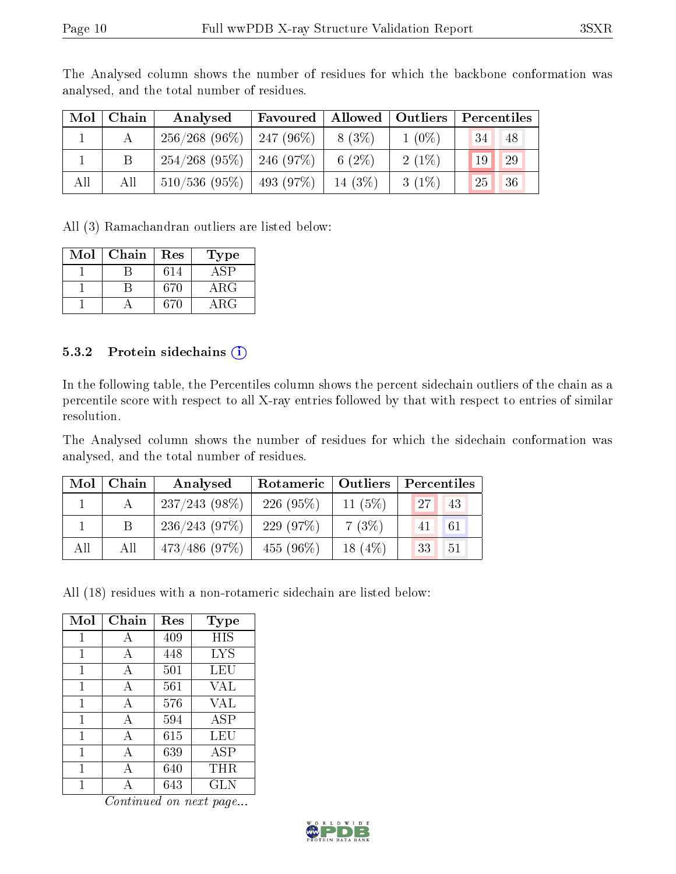| Mol | Chain | Analysed                      | Favoured        |           | Allowed   Outliers | Percentiles |  |
|-----|-------|-------------------------------|-----------------|-----------|--------------------|-------------|--|
|     |       | $256/268$ (96\%)   247 (96\%) |                 | $8(3\%)$  | $1(0\%)$           | 34<br>48    |  |
|     |       | $254/268$ (95\%)   246 (97\%) |                 | 6 $(2\%)$ | $2(1\%)$           | 29<br>19    |  |
| All | All   | 510/536(95%)                  | $\pm 493$ (97%) | $14(3\%)$ | $3(1\%)$           | 25<br>36    |  |

The Analysed column shows the number of residues for which the backbone conformation was analysed, and the total number of residues.

All (3) Ramachandran outliers are listed below:

| Mol | Chain | $\operatorname{Res}% \left( \mathcal{N}\right) \equiv\operatorname{Res}(\mathcal{N}_{0})\cap\mathcal{N}_{1}$ | Type       |
|-----|-------|--------------------------------------------------------------------------------------------------------------|------------|
|     |       | 614                                                                                                          | ASP        |
|     |       | 670                                                                                                          | $\rm{ARG}$ |
|     |       | 670                                                                                                          | $\rm{ARG}$ |

#### 5.3.2 Protein sidechains  $(i)$

In the following table, the Percentiles column shows the percent sidechain outliers of the chain as a percentile score with respect to all X-ray entries followed by that with respect to entries of similar resolution.

The Analysed column shows the number of residues for which the sidechain conformation was analysed, and the total number of residues.

| Mol | $\mid$ Chain | Analysed         |             |           | Rotameric   Outliers   Percentiles |  |  |
|-----|--------------|------------------|-------------|-----------|------------------------------------|--|--|
|     |              | $237/243(98\%)$  | 226(95%)    | 11(5%)    | $27$   <br> 43                     |  |  |
|     |              | 236/243(97%)     | 229 $(97%)$ | 7(3%)     | 61<br>41                           |  |  |
| All | All          | $473/486$ (97\%) | $455(96\%)$ | 18 $(4%)$ | 33 <br>-51                         |  |  |

All (18) residues with a non-rotameric sidechain are listed below:

| Mol | Chain | Res | <b>Type</b> |
|-----|-------|-----|-------------|
| 1   | А     | 409 | HIS         |
| 1   | A     | 448 | <b>LYS</b>  |
| 1   | A     | 501 | LEU         |
| 1   | A     | 561 | VAL         |
| 1   | A     | 576 | VAL         |
| 1   | A     | 594 | <b>ASP</b>  |
| 1   | A     | 615 | LEU         |
| 1   | А     | 639 | ASP         |
| 1   | А     | 640 | $\rm THR$   |
|     |       | 643 | GLN         |

Continued on next page...

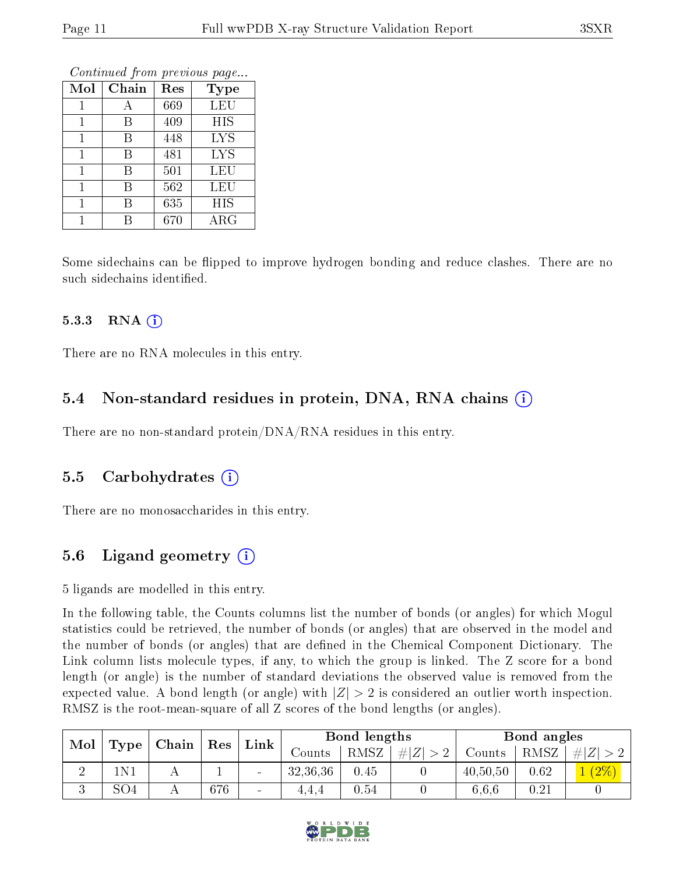|     |       |     | o o neenewow grone process worpwgorn. |
|-----|-------|-----|---------------------------------------|
| Mol | Chain | Res | <b>Type</b>                           |
|     | А     | 669 | <b>LEU</b>                            |
|     | В     | 409 | HIS                                   |
|     | В     | 448 | <b>LYS</b>                            |
|     | В     | 481 | <b>LYS</b>                            |
|     | В     | 501 | LEU                                   |
|     | В     | 562 | LEU                                   |
|     | В     | 635 | <b>HIS</b>                            |
|     |       | 670 | $\rm{ARG}$                            |

Continued from previous page...

Some sidechains can be flipped to improve hydrogen bonding and reduce clashes. There are no such sidechains identified.

#### $5.3.3$  RNA  $(i)$

There are no RNA molecules in this entry.

### 5.4 Non-standard residues in protein, DNA, RNA chains (i)

There are no non-standard protein/DNA/RNA residues in this entry.

#### 5.5 Carbohydrates (i)

There are no monosaccharides in this entry.

### 5.6 Ligand geometry  $(i)$

5 ligands are modelled in this entry.

In the following table, the Counts columns list the number of bonds (or angles) for which Mogul statistics could be retrieved, the number of bonds (or angles) that are observed in the model and the number of bonds (or angles) that are dened in the Chemical Component Dictionary. The Link column lists molecule types, if any, to which the group is linked. The Z score for a bond length (or angle) is the number of standard deviations the observed value is removed from the expected value. A bond length (or angle) with  $|Z| > 2$  is considered an outlier worth inspection. RMSZ is the root-mean-square of all Z scores of the bond lengths (or angles).

| Mol |                 | Res<br>  Chain |     | Link            | Bond lengths |      |             | Bond angles |      |             |
|-----|-----------------|----------------|-----|-----------------|--------------|------|-------------|-------------|------|-------------|
|     | Type            |                |     |                 | Counts       | RMSZ | # $ Z  > 2$ | Counts      | RMSZ | # $ Z  > 2$ |
|     | $1\mathrm{N1}$  |                |     | $\sim$          | 32,36,36     | 0.45 |             | 40,50,50    | 0.62 | $(2\%)$     |
|     | SO <sub>4</sub> |                | 676 | $\qquad \qquad$ | 4,4,4        | 0.54 |             | 6,6,6       | 0.21 |             |

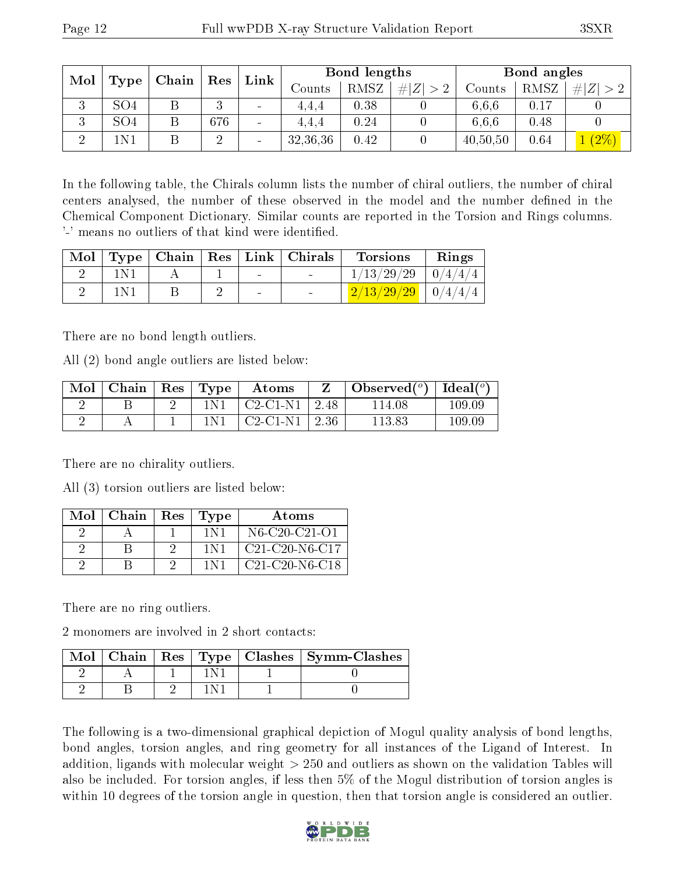| Mol                 |                 | Chain | ${\mathop{\mathrm{Res}}\nolimits}$ |                          | Bond lengths<br>Link |      |                  |          | Bond angles |         |
|---------------------|-----------------|-------|------------------------------------|--------------------------|----------------------|------|------------------|----------|-------------|---------|
|                     | Type            |       |                                    |                          | Counts               | RMSZ | # Z <br>$\sim$ 2 | Counts   | RMSZ        | #<br> Z |
| $\Omega$<br>$\cdot$ | SO <sub>4</sub> |       | $\Omega$                           | $\sim$                   | 4.4.4                | 0.38 |                  | 6.6.6    | 0.17        |         |
| $\Omega$<br>۰.)     | SO <sub>4</sub> |       | 676                                | $\overline{\phantom{a}}$ | 4.4.4                | 0.24 |                  | 6.6.6    | 0.48        |         |
|                     | $'$ N1          |       |                                    |                          | 32,36,36             | 0.42 |                  | 40,50,50 | 0.64        | $(2\%)$ |

In the following table, the Chirals column lists the number of chiral outliers, the number of chiral centers analysed, the number of these observed in the model and the number defined in the Chemical Component Dictionary. Similar counts are reported in the Torsion and Rings columns. '-' means no outliers of that kind were identified.

| Mol | Type  | $\vert$ Chain $\vert$ |                          | Res   Link   Chirals | <b>Torsions</b>                                                                    | Rings |
|-----|-------|-----------------------|--------------------------|----------------------|------------------------------------------------------------------------------------|-------|
|     |       |                       | $\sim$                   |                      | $1/13/29/29$   $0/4/4/4$                                                           |       |
|     | 1 N I |                       | $\overline{\phantom{a}}$ |                      | $\left[ \frac{2}{13}/\frac{29}{29} \right] \left[ \frac{0}{4}/\frac{4}{4} \right]$ |       |

There are no bond length outliers.

All (2) bond angle outliers are listed below:

| Mol | Chain | Res | Type | Atoms      |      | Observed $(°)$ | Ideal $(°)$ |
|-----|-------|-----|------|------------|------|----------------|-------------|
|     |       |     |      | $C2-C1-N1$ | 2.48 | 114.08         | 109.09      |
|     |       |     |      | $C2-C1-N1$ | 2.36 | 113.83         | 109.09      |

There are no chirality outliers.

All (3) torsion outliers are listed below:

| Mol | ∣ Chain | Res   Type | Atoms                                                            |
|-----|---------|------------|------------------------------------------------------------------|
|     |         | 1N1        | N <sub>6</sub> -C <sub>20</sub> -C <sub>21</sub> -O <sub>1</sub> |
|     |         | 1N1        | $C21-C20-N6-C17$                                                 |
|     |         | 1N1        | $C21-C20-N6-C18$                                                 |

There are no ring outliers.

2 monomers are involved in 2 short contacts:

|  |  | Mol   Chain   Res   Type   Clashes   Symm-Clashes |
|--|--|---------------------------------------------------|
|  |  |                                                   |
|  |  |                                                   |

The following is a two-dimensional graphical depiction of Mogul quality analysis of bond lengths, bond angles, torsion angles, and ring geometry for all instances of the Ligand of Interest. In addition, ligands with molecular weight > 250 and outliers as shown on the validation Tables will also be included. For torsion angles, if less then 5% of the Mogul distribution of torsion angles is within 10 degrees of the torsion angle in question, then that torsion angle is considered an outlier.

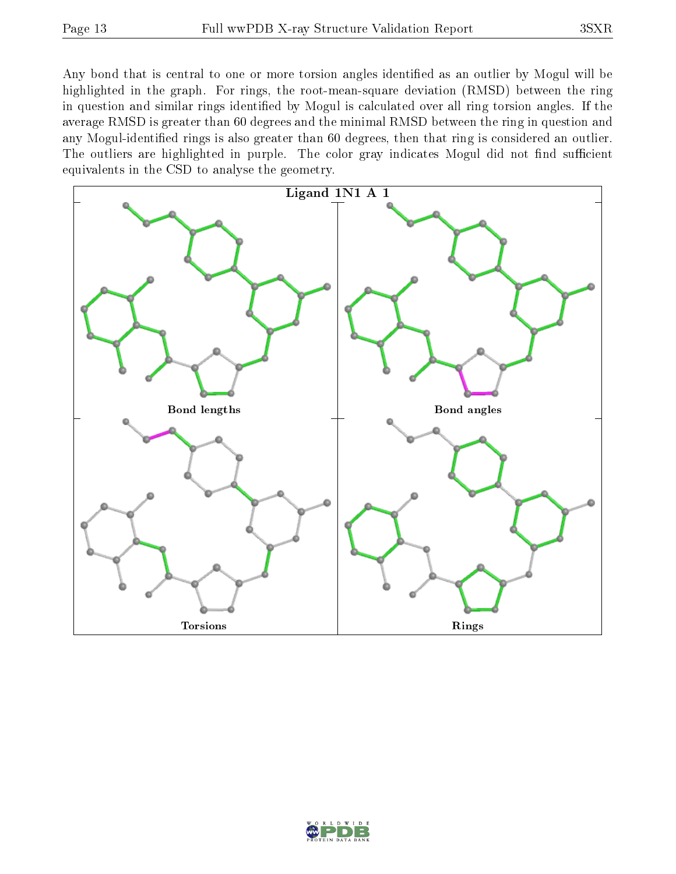Any bond that is central to one or more torsion angles identified as an outlier by Mogul will be highlighted in the graph. For rings, the root-mean-square deviation (RMSD) between the ring in question and similar rings identified by Mogul is calculated over all ring torsion angles. If the average RMSD is greater than 60 degrees and the minimal RMSD between the ring in question and any Mogul-identified rings is also greater than 60 degrees, then that ring is considered an outlier. The outliers are highlighted in purple. The color gray indicates Mogul did not find sufficient equivalents in the CSD to analyse the geometry.



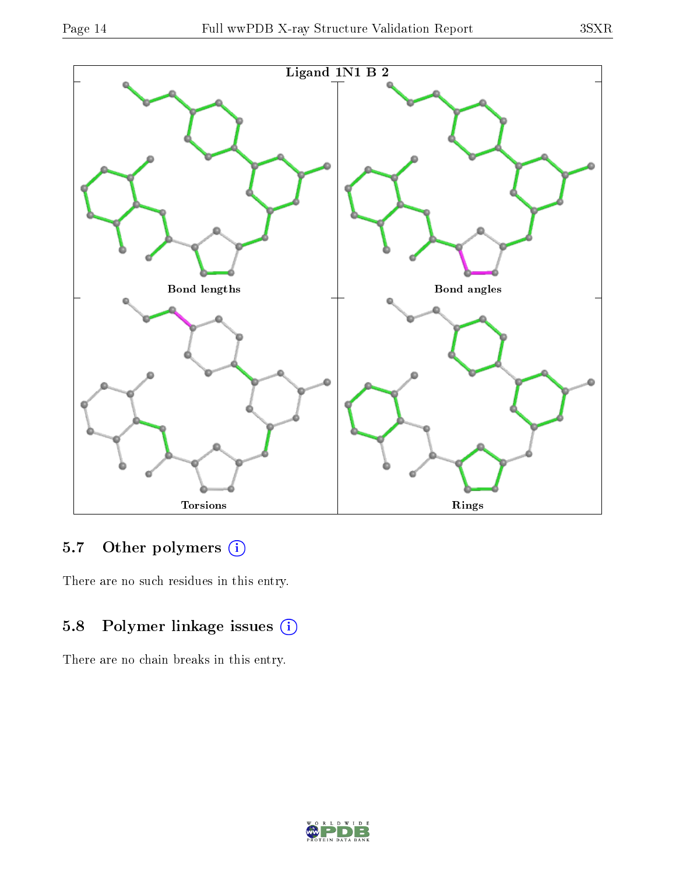

# 5.7 [O](https://www.wwpdb.org/validation/2017/XrayValidationReportHelp#nonstandard_residues_and_ligands)ther polymers (i)

There are no such residues in this entry.

### 5.8 Polymer linkage issues (i)

There are no chain breaks in this entry.

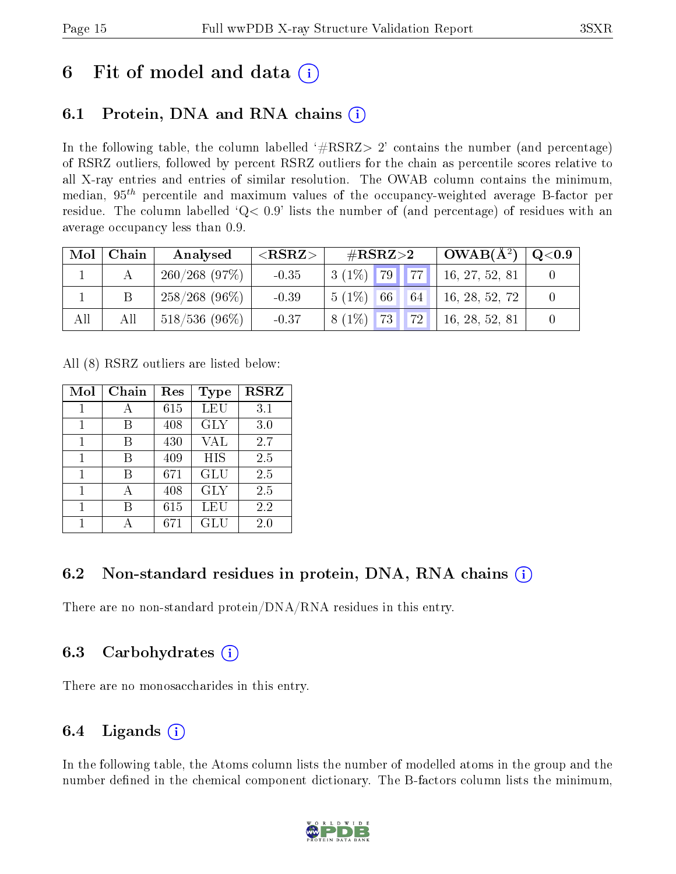# 6 Fit of model and data  $\left( \cdot \right)$

# 6.1 Protein, DNA and RNA chains (i)

In the following table, the column labelled  $#RSRZ>2'$  contains the number (and percentage) of RSRZ outliers, followed by percent RSRZ outliers for the chain as percentile scores relative to all X-ray entries and entries of similar resolution. The OWAB column contains the minimum, median,  $95<sup>th</sup>$  percentile and maximum values of the occupancy-weighted average B-factor per residue. The column labelled  $Q< 0.9$  lists the number of (and percentage) of residues with an average occupancy less than 0.9.

| Mol | Chain | Analysed         | ${ <\hspace{-1.5pt}{\mathrm{RSRZ}} \hspace{-1.5pt}>}$ | $\#\text{RSRZ}{>}2$     |    | $OWAB(A^2)$    | $\rm Q\textcolor{black}{<}0.9$ |
|-----|-------|------------------|-------------------------------------------------------|-------------------------|----|----------------|--------------------------------|
|     |       | $260/268$ (97\%) | $-0.35$                                               | 79<br>$3(1\%)$          | 77 | 16, 27, 52, 81 |                                |
|     |       | $258/268(96\%)$  | $-0.39$                                               | $5(1\%)$<br>$\sqrt{66}$ | 64 | 16, 28, 52, 72 |                                |
| All | All   | $518/536(96\%)$  | $-0.37$                                               | 73<br>$8(1\%)$          | 72 | 16, 28, 52, 81 |                                |

All (8) RSRZ outliers are listed below:

| Mol | Chain | Res | <b>Type</b> | <b>RSRZ</b> |
|-----|-------|-----|-------------|-------------|
|     |       | 615 | LEU         | 3.1         |
| 1   | В     | 408 | <b>GLY</b>  | 3.0         |
| 1   | В     | 430 | VAL         | 2.7         |
| 1   | В     | 409 | <b>HIS</b>  | 2.5         |
| 1   | В     | 671 | GLU         | 2.5         |
| 1   | А     | 408 | <b>GLY</b>  | 2.5         |
|     |       | 615 | LEU         | 2.2         |
|     |       | 671 | GLU         | 2.0         |

### 6.2 Non-standard residues in protein, DNA, RNA chains (i)

There are no non-standard protein/DNA/RNA residues in this entry.

### 6.3 Carbohydrates (i)

There are no monosaccharides in this entry.

### 6.4 Ligands  $(i)$

In the following table, the Atoms column lists the number of modelled atoms in the group and the number defined in the chemical component dictionary. The B-factors column lists the minimum,

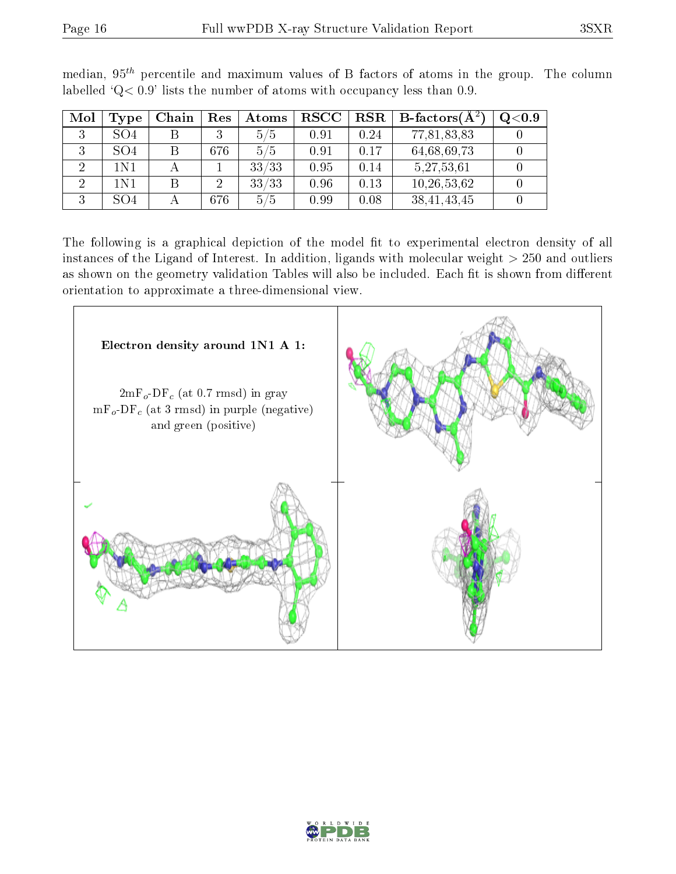|--|

| Mol | Type            | Chain | Res | Atoms | <b>RSCC</b> | $_{\rm RSR}$ | $\parallel$ $\mathbf{B}\text{-factors}(\mathbf{A}^2)$ | Q <sub>0.9</sub> |
|-----|-----------------|-------|-----|-------|-------------|--------------|-------------------------------------------------------|------------------|
|     | SO4             |       |     | 5/5   | 0.91        | 0.24         | 77,81,83,83                                           |                  |
|     | SO <sub>4</sub> |       | 676 | 5/5   | 0.91        | 0.17         | 64,68,69,73                                           |                  |
|     | 1N1             |       |     | 33/33 | 0.95        | 0.14         | 5,27,53,61                                            |                  |
|     | 1N 1            |       | 2   | 33/33 | 0.96        | 0.13         | 10,26,53,62                                           |                  |
|     | SO4             |       | 676 | 5/5   | 0.99        | 0.08         | 38,41,43,45                                           |                  |

median,  $95<sup>th</sup>$  percentile and maximum values of B factors of atoms in the group. The column labelled ' $Q< 0.9$ ' lists the number of atoms with occupancy less than 0.9.

The following is a graphical depiction of the model fit to experimental electron density of all instances of the Ligand of Interest. In addition, ligands with molecular weight  $> 250$  and outliers as shown on the geometry validation Tables will also be included. Each fit is shown from different orientation to approximate a three-dimensional view.